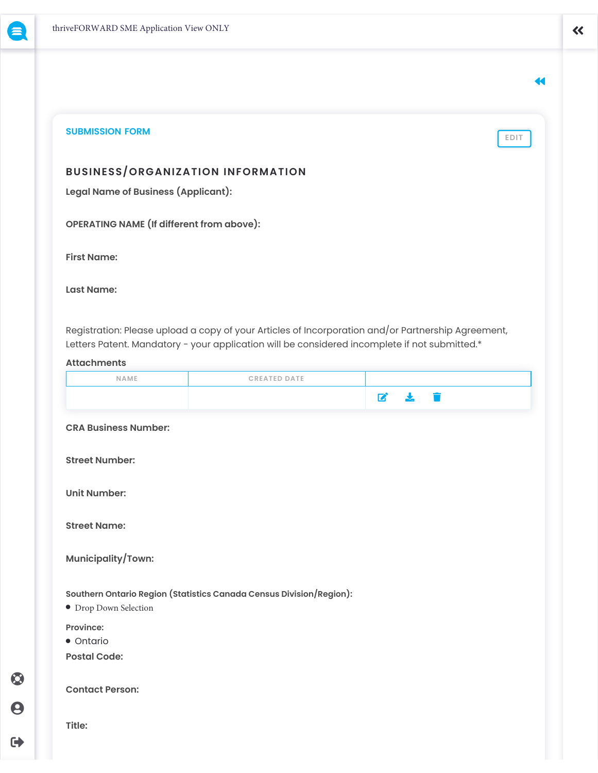$\odot$ 

 $\boldsymbol{\Theta}$ 

 $\rightarrow$ 

44

**EDIT**

# **SUBMISSION FORM**

**BUSINESS/ORGANIZATION INFORMATION**

**Legal Name of Business (Applicant):**

**OPERATING NAME (If different from above):**

**First Name:**

**Last Name:**

Registration: Please upload a copy of your Articles of Incorporation and/or Partnership Agreement, Letters Patent. Mandatory - your application will be considered incomplete if not submitted.\*

## **Attachments**

| NAME                        | <b>CREATED DATE</b>                                                 |              |               |   |  |  |
|-----------------------------|---------------------------------------------------------------------|--------------|---------------|---|--|--|
|                             |                                                                     | $\mathbf{z}$ | $\frac{1}{2}$ | 盲 |  |  |
| <b>CRA Business Number:</b> |                                                                     |              |               |   |  |  |
| <b>Street Number:</b>       |                                                                     |              |               |   |  |  |
| <b>Unit Number:</b>         |                                                                     |              |               |   |  |  |
| <b>Street Name:</b>         |                                                                     |              |               |   |  |  |
| Municipality/Town:          |                                                                     |              |               |   |  |  |
| • Drop Down Selection       | Southern Ontario Region (Statistics Canada Census Division/Region): |              |               |   |  |  |
| Province:                   |                                                                     |              |               |   |  |  |
| • Ontario                   |                                                                     |              |               |   |  |  |
| <b>Postal Code:</b>         |                                                                     |              |               |   |  |  |
| <b>Contact Person:</b>      |                                                                     |              |               |   |  |  |
| Title:                      |                                                                     |              |               |   |  |  |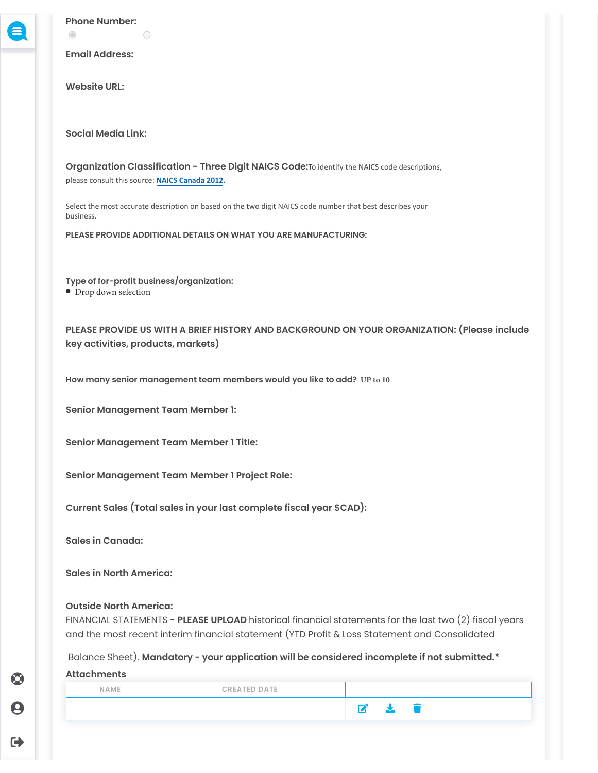**Phone Number:**

**Email Address:**

 $\bigcap$ 

**Website URL:**

 $\circledcirc$ 

**Social Media Link:** 

**Organization Classification - Three Digit NAICS Code:**To identify the NAICS code descriptions, please consult this source: **[NAICS Canada 2012.](https://www23.statcan.gc.ca/imdb/p3VD.pl?Function=getVDPage1&db=imdb&dis=2&adm=8&TVD=118464)**

Select the most accurate description on based on the two digit NAICS code number that best describes your business.

**PLEASE PROVIDE ADDITIONAL DETAILS ON WHAT YOU ARE MANUFACTURING:**

**Type of for-profit business/organization:**  $\bullet$  Drop down selection

**PLEASE PROVIDE US WITH A BRIEF HISTORY AND BACKGROUND ON YOUR ORGANIZATION: (Please include key activities, products, markets)**

**How many senior management team members would you like to add? UP to 10**

**Senior Management Team Member 1:**

**Senior Management Team Member 1 Title:**

**Senior Management Team Member 1 Project Role:**

**Current Sales (Total sales in your last complete fiscal year \$CAD):**

**Sales in Canada:**

**Sales in North America:**

### **Outside North America:**

FINANCIAL STATEMENTS - **PLEASE UPLOAD** historical financial statements for the last two (2) fiscal years and the most recent interim financial statement (YTD Profit & Loss Statement and Consolidated

Balance Sheet). **Mandatory - your application will be considered incomplete if not submitted.\*** 

#### **Attachments**

 $\bm{\odot}$ 

9

 $\blacklozenge$ 

| NAME | <b>CREATED DATE</b> |    |  |
|------|---------------------|----|--|
|      |                     | N. |  |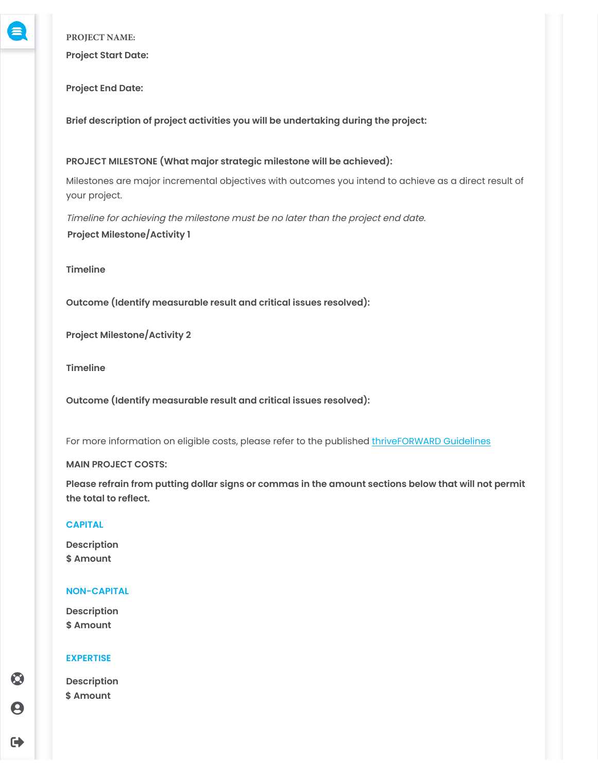**PROJECT NAME:**

**Project Start Date:**

**Project End Date:**

**Brief description of project activities you will be undertaking during the project:**

**PROJECT MILESTONE (What major strategic milestone will be achieved):**

Milestones are major incremental objectives with outcomes you intend to achieve as a direct result of your project.

Timeline for achieving the milestone must be no later than the project end date. **Project Milestone/Activity 1**

**Timeline**

**Outcome (Identify measurable result and critical issues resolved):**

**Project Milestone/Activity 2**

**Timeline**

**Outcome (Identify measurable result and critical issues resolved):**

For more information on eligible costs, please refer to the published [thriveFORWARD Guidelines](https://ncfdc.ca/thriveforward)

# **MAIN PROJECT COSTS:**

**Please refrain from putting dollar signs or commas in the amount sections below that will not permit the total to reflect.**

# **CAPITAL**

**Description \$ Amount**

# **NON-CAPITAL**

**Description \$ Amount**

# **EXPERTISE**

**Description \$ Amount**

 $\bullet$ 9

 $\blacksquare$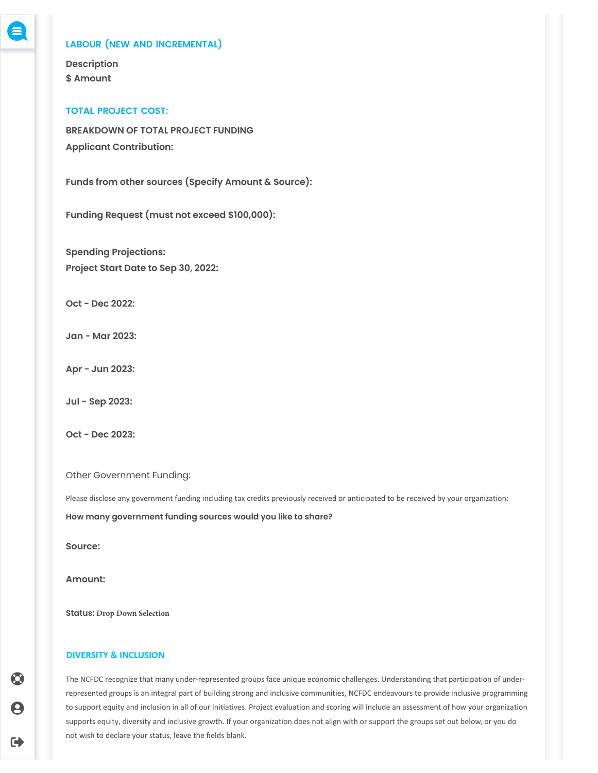### **LABOUR (NEW AND INCREMENTAL)**

**Description \$ Amount**

#### **TOTAL PROJECT COST:**

**BREAKDOWN OF TOTAL PROJECT FUNDING Applicant Contribution:**

**Funds from other sources (Specify Amount & Source):**

**Funding Request (must not exceed \$100,000):**

**Spending Projections: Project Start Date to Sep 30, 2022:**

**Oct - Dec 2022:**

**Jan - Mar 2023:**

**Apr - Jun 2023:**

**Jul - Sep 2023:**

**Oct - Dec 2023:**

Other Government Funding:

Please disclose any government funding including tax credits previously received or anticipated to be received by your organization:

**How many government funding sources would you like to share?**

**Source:**

**Amount:**

**Status: Drop Down Selection**

#### **DIVERSITY & INCLUSION**

The NCFDC recognize that many under-represented groups face unique economic challenges. Understanding that participation of underrepresented groups is an integral part of building strong and inclusive communities, NCFDC endeavours to provide inclusive programming to support equity and inclusion in all of our initiatives. Project evaluation and scoring will include an assessment of how your organization supports equity, diversity and inclusive growth. If your organization does not align with or support the groups set out below, or you do not wish to declare your status, leave the fields blank.

 $\bm{\odot}$  $\boldsymbol{\Theta}$ 

G)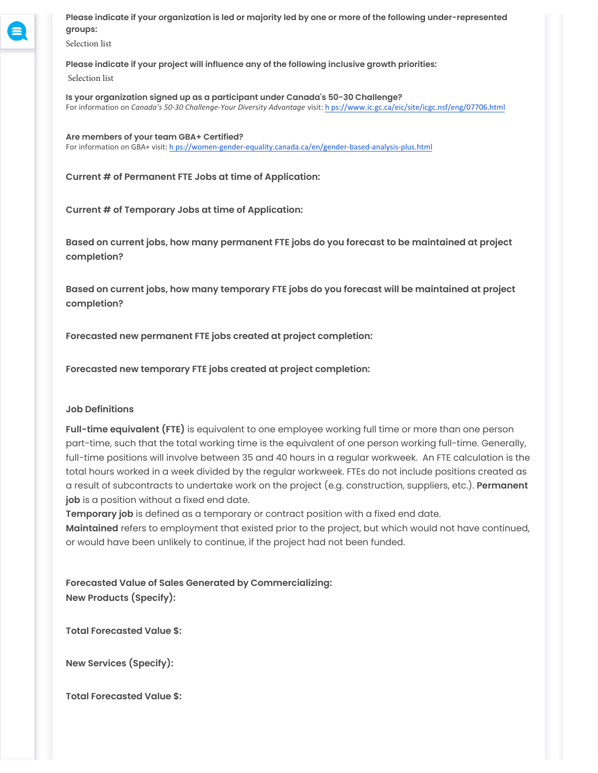**Please indicate if your organization is led or majority led by one or more of the following under-represented groups:**

Selection list

**Please indicate if your project will influence any of the following inclusive growth priorities:**

Selection list

**Is your organization signed up as a participant under Canada's 50-30 Challenge?** For information on *Canada's 50-30 Challenge-Your Diversity Advantage* visit: [h ps://www.ic.gc.ca/eic/site/icgc.nsf/eng/07706.html](https://www.ic.gc.ca/eic/site/icgc.nsf/eng/07706.html)

**Are members of your team GBA+ Certified?** For information on GBA+ visit: [h ps://women-gender-equality.canada.ca/en/gender-based-analysis-plus.html](https://women-gender-equality.canada.ca/en/gender-based-analysis-plus.html)

**Current # of Permanent FTE Jobs at time of Application:**

**Current # of Temporary Jobs at time of Application:**

**Based on current jobs, how many permanent FTE jobs do you forecast to be maintained at project completion?**

**Based on current jobs, how many temporary FTE jobs do you forecast will be maintained at project completion?**

**Forecasted new permanent FTE jobs created at project completion:**

**Forecasted new temporary FTE jobs created at project completion:**

# **Job Definitions**

**Full-time equivalent (FTE)** is equivalent to one employee working full time or more than one person part-time, such that the total working time is the equivalent of one person working full-time. Generally, full-time positions will involve between 35 and 40 hours in a regular workweek. An FTE calculation is the total hours worked in a week divided by the regular workweek. FTEs do not include positions created as a result of subcontracts to undertake work on the project (e.g. construction, suppliers, etc.). **Permanent job** is a position without a fixed end date.

**Temporary job** is defined as a temporary or contract position with a fixed end date.

**Maintained** refers to employment that existed prior to the project, but which would not have continued, or would have been unlikely to continue, if the project had not been funded.

**Forecasted Value of Sales Generated by Commercializing: New Products (Specify):**

**Total Forecasted Value \$:**

**New Services (Specify):**

**Total Forecasted Value \$:**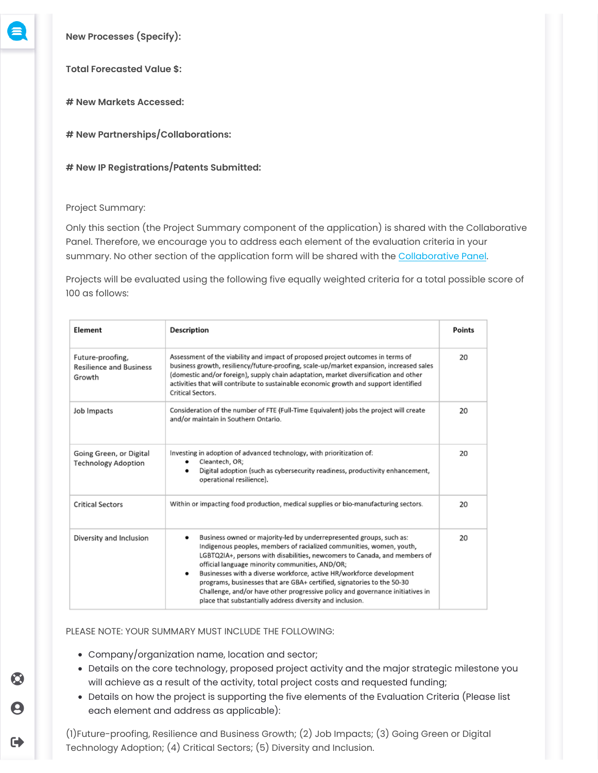

 $\bm{\odot}$ 

9

G)

**New Processes (Specify):**

**Total Forecasted Value \$:**

**# New Markets Accessed:**

**# New Partnerships/Collaborations:**

**# New IP Registrations/Patents Submitted:**

## Project Summary:

Only this section (the Project Summary component of the application) is shared with the Collaborative Panel. Therefore, we encourage you to address each element of the evaluation criteria in your summary. No other section of the application form will be shared with the [Collaborative Panel](https://ncfdc.ca/thriveforward).

Projects will be evaluated using the following five equally weighted criteria for a total possible score of 100 as follows:

| Element                                                      | <b>Description</b>                                                                                                                                                                                                                                                                                                                                                                                                                                                                                                                                                                    | Points |
|--------------------------------------------------------------|---------------------------------------------------------------------------------------------------------------------------------------------------------------------------------------------------------------------------------------------------------------------------------------------------------------------------------------------------------------------------------------------------------------------------------------------------------------------------------------------------------------------------------------------------------------------------------------|--------|
| Future-proofing,<br><b>Resilience and Business</b><br>Growth | Assessment of the viability and impact of proposed project outcomes in terms of<br>business growth, resiliency/future-proofing, scale-up/market expansion, increased sales<br>(domestic and/or foreign), supply chain adaptation, market diversification and other<br>activities that will contribute to sustainable economic growth and support identified<br>Critical Sectors.                                                                                                                                                                                                      | 20     |
| Job Impacts                                                  | Consideration of the number of FTE (Full-Time Equivalent) jobs the project will create<br>and/or maintain in Southern Ontario.                                                                                                                                                                                                                                                                                                                                                                                                                                                        | 20     |
| Going Green, or Digital<br><b>Technology Adoption</b>        | Investing in adoption of advanced technology, with prioritization of:<br>Cleantech, OR;<br>Digital adoption (such as cybersecurity readiness, productivity enhancement,<br>٠<br>operational resilience).                                                                                                                                                                                                                                                                                                                                                                              | 20     |
| <b>Critical Sectors</b>                                      | Within or impacting food production, medical supplies or bio-manufacturing sectors.                                                                                                                                                                                                                                                                                                                                                                                                                                                                                                   | 20     |
| Diversity and Inclusion                                      | Business owned or majority-led by underrepresented groups, such as:<br>٠<br>Indigenous peoples, members of racialized communities, women, youth,<br>LGBTQ2IA+, persons with disabilities, newcomers to Canada, and members of<br>official language minority communities, AND/OR;<br>Businesses with a diverse workforce, active HR/workforce development<br>٠<br>programs, businesses that are GBA+ certified, signatories to the 50-30<br>Challenge, and/or have other progressive policy and governance initiatives in<br>place that substantially address diversity and inclusion. | 20     |

## PLEASE NOTE: YOUR SUMMARY MUST INCLUDE THE FOLLOWING:

- Company/organization name, location and sector;
- Details on the core technology, proposed project activity and the major strategic milestone you will achieve as a result of the activity, total project costs and requested funding;
- Details on how the project is supporting the five elements of the Evaluation Criteria (Please list each element and address as applicable):

(1)Future-proofing, Resilience and Business Growth; (2) Job Impacts; (3) Going Green or Digital Technology Adoption; (4) Critical Sectors; (5) Diversity and Inclusion.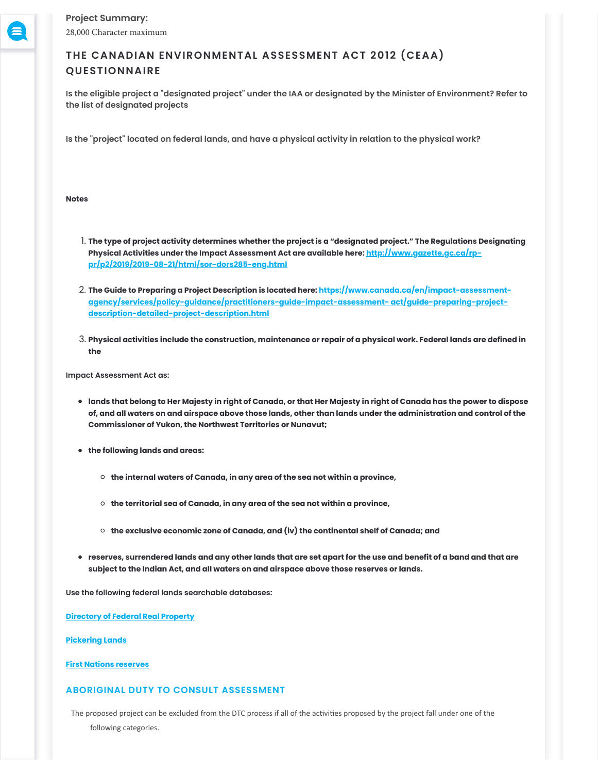# **THE CANADIAN ENVIRONMENTAL ASSESSMENT ACT 2012 (CEAA) QUESTIONNAIRE**

**Is the eligible project a "designated project" under the IAA or designated by the Minister of Environment? Refer to the list of designated projects**

**Is the "project" located on federal lands, and have a physical activity in relation to the physical work?**

**Notes**

- 1. **The type of project activity determines whether the project is a "designated project." The Regulations Designating [Physical Activities under the Impact Assessment Act are available here: http://www.gazette.gc.ca/rp](http://www.gazette.gc.ca/rp-pr/p2/2019/2019-08-21/html/sor-dors285-eng.html)pr/p2/2019/2019-08-21/html/sor-dors285-eng.html**
- 2. **[The Guide to Preparing a Project Description is located here: https://www.canada.ca/en/impact-assessment](https://www.canada.ca/en/impact-assessment-agency/services/policy-guidance/practitioners-guide-impact-assessment-%20act/guide-preparing-project-description-detailed-project-description.html)agency/services/policy-guidance/practitioners-guide-impact-assessment- act/guide-preparing-projectdescription-detailed-project-description.html**
- 3. **Physical activities include the construction, maintenance or repair of a physical work. Federal lands are defined in the**

**Impact Assessment Act as:**

- **lands that belong to Her Majesty in right of Canada, or that Her Majesty in right of Canada has the power to dispose of, and all waters on and airspace above those lands, other than lands under the administration and control of the Commissioner of Yukon, the Northwest Territories or Nunavut;**
- **the following lands and areas:**
	- **the internal waters of Canada, in any area of the sea not within a province,**
	- **the territorial sea of Canada, in any area of the sea not within a province,**
	- **the exclusive economic zone of Canada, and (iv) the continental shelf of Canada; and**
- **reserves, surrendered lands and any other lands that are set apart for the use and benefit of a band and that are subject to the Indian Act, and all waters on and airspace above those reserves or lands.**

**Use the following federal lands searchable databases:**

**[Directory of Federal Real Property](https://www.tbs-sct.gc.ca/dfrp-rbif/home-accueil-eng.aspx)**

**[Pickering Lands](https://www.tc.gc.ca/eng/ontario/pickering-menu-1362.htm)**

**[First Nations reserves](https://sidait-atris.aadnc-aandc.gc.ca/atris_online/home-accueil.aspx)**

## **ABORIGINAL DUTY TO CONSULT ASSESSMENT**

The proposed project can be excluded from the DTC process if all of the activities proposed by the project fall under one of the following categories.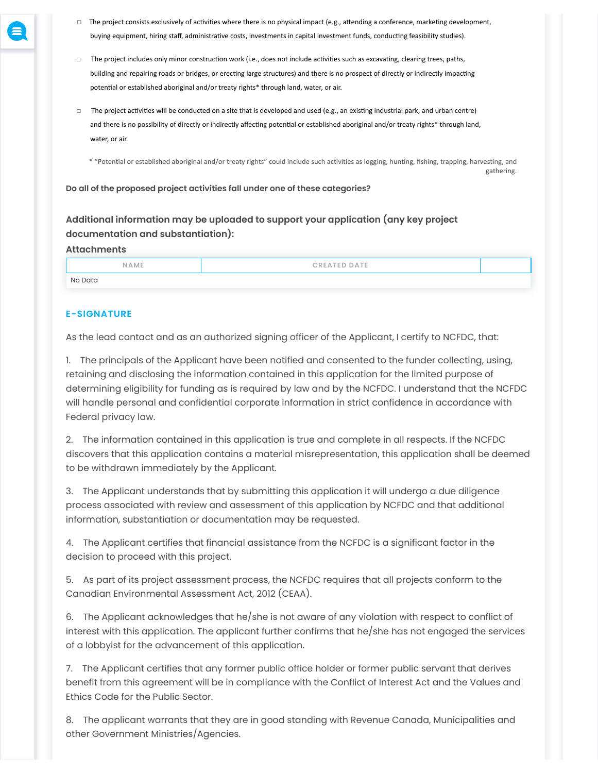- 
- □ The project consists exclusively of activities where there is no physical impact (e.g., attending a conference, marketing development, buying equipment, hiring staff, administrative costs, investments in capital investment funds, conducting feasibility studies).
- □ The project includes only minor construction work (i.e., does not include activities such as excavating, clearing trees, paths, building and repairing roads or bridges, or erecting large structures) and there is no prospect of directly or indirectly impacting potential or established aboriginal and/or treaty rights\* through land, water, or air.
- $\Box$  The project activities will be conducted on a site that is developed and used (e.g., an existing industrial park, and urban centre) and there is no possibility of directly or indirectly affecting potential or established aboriginal and/or treaty rights\* through land, water, or air.

\* "Potential or established aboriginal and/or treaty rights" could include such activities as logging, hunting, fishing, trapping, harvesting, and gathering.

**Do all of the proposed project activities fall under one of these categories?**

# **Additional information may be uploaded to support your application (any key project documentation and substantiation):**

### **Attachments**

| NAME    | <b>CREATED DATE</b> |  |
|---------|---------------------|--|
| No Data |                     |  |

## **E-SIGNATURE**

As the lead contact and as an authorized signing officer of the Applicant, I certify to NCFDC, that:

1. The principals of the Applicant have been notified and consented to the funder collecting, using, retaining and disclosing the information contained in this application for the limited purpose of determining eligibility for funding as is required by law and by the NCFDC. I understand that the NCFDC will handle personal and confidential corporate information in strict confidence in accordance with Federal privacy law.

2. The information contained in this application is true and complete in all respects. If the NCFDC discovers that this application contains a material misrepresentation, this application shall be deemed to be withdrawn immediately by the Applicant.

3. The Applicant understands that by submitting this application it will undergo a due diligence process associated with review and assessment of this application by NCFDC and that additional information, substantiation or documentation may be requested.

4. The Applicant certifies that financial assistance from the NCFDC is a significant factor in the decision to proceed with this project.

5. As part of its project assessment process, the NCFDC requires that all projects conform to the Canadian Environmental Assessment Act, 2012 (CEAA).

6. The Applicant acknowledges that he/she is not aware of any violation with respect to conflict of interest with this application. The applicant further confirms that he/she has not engaged the services of a lobbyist for the advancement of this application.

7. The Applicant certifies that any former public office holder or former public servant that derives benefit from this agreement will be in compliance with the Conflict of Interest Act and the Values and Ethics Code for the Public Sector.

8. The applicant warrants that they are in good standing with Revenue Canada, Municipalities and other Government Ministries/Agencies.